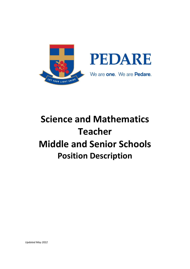

# **Science and Mathematics Teacher Middle and Senior Schools Position Description**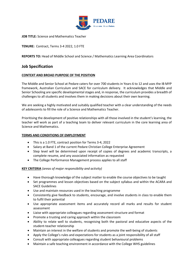

**JOB TITLE:** Science and Mathematics Teacher

**TENURE:** Contract, Terms 3-4 2022, 1.0 FTE

**REPORTS TO:** Head of Middle School and Science / Mathematics Learning Area Coordinators

# **Job Specification**

# **CONTEXT AND BROAD PURPOSE OF THE POSITION**

The Middle and Senior School at Pedare caters for over 700 students in Years 6 to 12 and uses the IB MYP framework, Australian Curriculum and SACE for curriculum delivery. It acknowledges that Middle and Senior Schooling are specific developmental stages and, in response, the curriculum provides a breadth of challenges to all students and involves them in making decisions about their own learning.

We are seeking a highly motivated and suitably qualified teacher with a clear understanding of the needs of adolescents to fill the role of a Science and Mathematics Teacher.

Prioritising the development of positive relationships with all those involved in the student's learning, the teacher will work as part of a teaching team to deliver relevant curriculum in the core learning area of Science and Mathematics.

#### **TERMS AND CONDITIONS OF EMPLOYMENT**

- This is a 1.0 FTE, contract position for Terms 3-4, 2022
- Salary at Band 1 of the current Pedare Christian College Enterprise Agreement
- Step level will be determined upon receipt of copies of degrees and academic transcripts, a complete resume, and any associated information as requested
- The College Performance Management process applies to all staff

# **KEY CRITERIA** *(areas of major responsibility and activity)*

- Have thorough knowledge of the subject matter to enable the course objectives to be taught
- Set programmes and lesson objectives based on the subject syllabus and within the ACARA and SACE Guidelines
- Use and maintain resources used in the teaching programme
- Consistently give feedback to students, encourage, and involve students in class to enable them to fulfil their potential
- Use appropriate assessment items and accurately record all marks and results for student assessment
- Liaise with appropriate colleagues regarding assessment structure and format
- Promote a trusting and caring approach within the classroom
- Ability to relate well to students, recognising both the pastoral and educative aspects of the student-teacher relationship
- Maintain an interest in the welfare of students and promote the well-being of students
- Apply the College's rules and expectations for students as a joint responsibility of all staff
- Consult with appropriate colleagues regarding student behavioural problems
- Maintain a safe teaching environment in accordance with the College WHS guidelines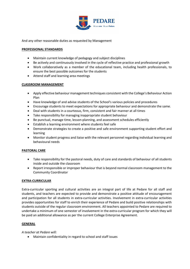

And any other reasonable duties as requested by Management

#### **PROFESSIONAL STANDARDS**

- Maintain current knowledge of pedagogy and subject disciplines
- Be actively and continuously involved in the cycle of reflective practice and professional growth
- Work collaboratively as a member of the educational team, including health professionals, to ensure the best possible outcomes for the students
- Attend staff and learning area meetings

### **CLASSROOM MANAGEMENT**

- Apply effective behaviour management techniques consistent with the College's Behaviour Action Plan
- Have knowledge of and advise students of the School's various policies and procedures
- Encourage students to meet expectations for appropriate behaviour and demonstrate the same.
- Deal with students in a courteous, firm, consistent and fair manner at all times
- Take responsibility for managing inappropriate student behaviour
- Be punctual, manage time, lesson-planning, and assessment schedules efficiently
- Establish a learning environment where students feel safe
- Demonstrate strategies to create a positive and safe environment supporting student effort and learning
- Monitor student progress and liaise with the relevant personnel regarding individual learning and behavioural needs

# **PASTORAL CARE**

- Take responsibility for the pastoral needs, duty of care and standards of behaviour of all students inside and outside the classroom
- Report irresponsible or improper behaviour that is beyond normal classroom management to the Community Coordinator

# **EXTRA-CURRICULAR**

Extra-curricular sporting and cultural activities are an integral part of life at Pedare for all staff and students, and teachers are expected to provide and demonstrate a positive attitude of encouragement and participation for all students in extra-curricular activities. Involvement in extra-curricular activities provides opportunities for staff to enrich their experience of Pedare and build positive relationships with students outside of the regular classroom environment. All teachers appointed to Pedare are required to undertake a minimum of one semester of involvement in the extra-curricular program for which they will be paid an additional allowance as per the current College Enterprise Agreement.

#### **GENERAL**

*A teacher at Pedare will:*

• Maintain confidentiality in regard to school and staff issues